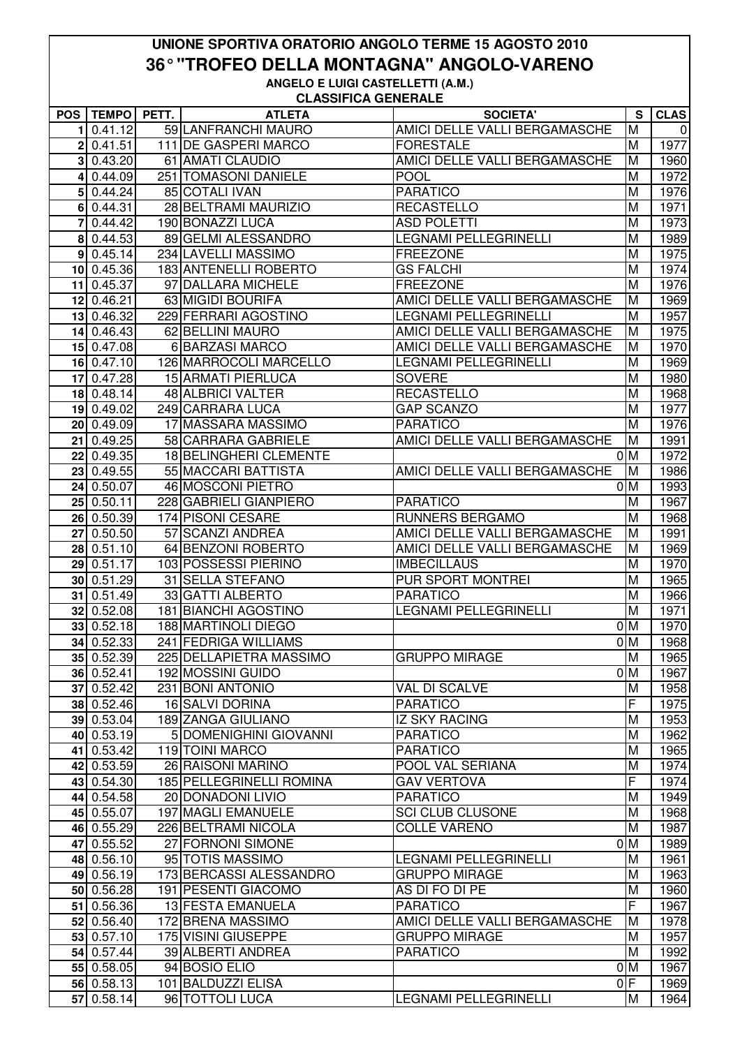## **UNIONE SPORTIVA ORATORIO ANGOLO TERME 15 AGOSTO 2010 36° "TROFEO DELLA MONTAGNA" ANGOLO-VARENO ANGELO E LUIGI CASTELLETTI (A.M.)**

**CLASSIFICA GENERALE**

|                |              |       | ULASSIFIUA UENERALE       |                               |                |             |
|----------------|--------------|-------|---------------------------|-------------------------------|----------------|-------------|
| <b>POS</b>     | <b>TEMPO</b> | PETT. | <b>ATLETA</b>             | <b>SOCIETA'</b>               | S              | <b>CLAS</b> |
| 1              | 0.41.12      |       | 59 LANFRANCHI MAURO       | AMICI DELLE VALLI BERGAMASCHE | M              | 0           |
| 2 <sub>1</sub> | 0.41.51      |       | 111 DE GASPERI MARCO      | <b>FORESTALE</b>              | M              | 1977        |
| 31             | 0.43.20      |       | 61 AMATI CLAUDIO          | AMICI DELLE VALLI BERGAMASCHE | M              | 1960        |
| 4              | 0.44.09      |       | 251 TOMASONI DANIELE      | <b>POOL</b>                   | M              | 1972        |
|                | 5 0.44.24    |       | 85 COTALI IVAN            | <b>PARATICO</b>               | M              | 1976        |
|                | 6 0.44.31    |       | 28 BELTRAMI MAURIZIO      | <b>RECASTELLO</b>             | M              | 1971        |
|                | 7 0.44.42    |       | 190 BONAZZI LUCA          | <b>ASD POLETTI</b>            | M              | 1973        |
|                | 8 0.44.53    |       | 89 GELMI ALESSANDRO       | <b>LEGNAMI PELLEGRINELLI</b>  | M              | 1989        |
|                | $9$ 0.45.14  |       | 234 LAVELLI MASSIMO       | <b>FREEZONE</b>               | M              | 1975        |
|                | 10 0.45.36   |       | 183 ANTENELLI ROBERTO     | <b>GS FALCHI</b>              | M              | 1974        |
|                | 11 0.45.37   |       | 97 DALLARA MICHELE        | <b>FREEZONE</b>               | M              | 1976        |
|                | 12 0.46.21   |       | 63 MIGIDI BOURIFA         | AMICI DELLE VALLI BERGAMASCHE | M              | 1969        |
|                | 13 0.46.32   |       | 229 FERRARI AGOSTINO      | LEGNAMI PELLEGRINELLI         | M              | 1957        |
|                | 14 0.46.43   |       | 62 BELLINI MAURO          | AMICI DELLE VALLI BERGAMASCHE | M              | 1975        |
|                | 15 0.47.08   |       | 6 BARZASI MARCO           | AMICI DELLE VALLI BERGAMASCHE | M              | 1970        |
|                | 16 0.47.10   |       | 126 MARROCOLI MARCELLO    | <b>LEGNAMI PELLEGRINELLI</b>  | M              | 1969        |
| 17             | 0.47.28      |       | <b>15 ARMATI PIERLUCA</b> | <b>SOVERE</b>                 | M              | 1980        |
|                | 18 0.48.14   |       | 48 ALBRICI VALTER         | <b>RECASTELLO</b>             | M              | 1968        |
|                | 19 0.49.02   |       | 249 CARRARA LUCA          | <b>GAP SCANZO</b>             | M              | 1977        |
|                | 20 0.49.09   |       | 17 MASSARA MASSIMO        | <b>PARATICO</b>               | M              | 1976        |
|                | 21 0.49.25   |       | 58 CARRARA GABRIELE       | AMICI DELLE VALLI BERGAMASCHE | M              | 1991        |
|                | 22 0.49.35   |       | 18 BELINGHERI CLEMENTE    |                               | $01$ M         | 1972        |
|                | 23 0.49.55   |       | 55 MACCARI BATTISTA       | AMICI DELLE VALLI BERGAMASCHE | M              | 1986        |
|                | 24 0.50.07   |       | <b>46 MOSCONI PIETRO</b>  |                               | 0 <sub>M</sub> | 1993        |
|                | 25 0.50.11   |       | 228 GABRIELI GIANPIERO    | <b>PARATICO</b>               | M              | 1967        |
|                | 26 0.50.39   |       | 174 PISONI CESARE         | <b>RUNNERS BERGAMO</b>        | M              | 1968        |
| 27             | 0.50.50      |       | 57 SCANZI ANDREA          | AMICI DELLE VALLI BERGAMASCHE | M              | 1991        |
| 28             | 0.51.10      |       | 64 BENZONI ROBERTO        | AMICI DELLE VALLI BERGAMASCHE | M              | 1969        |
|                | 29 0.51.17   |       | 103 POSSESSI PIERINO      | <b>IMBECILLAUS</b>            | M              | 1970        |
|                | 30 0.51.29   |       | 31 SELLA STEFANO          | PUR SPORT MONTREI             | M              | 1965        |
|                | $31$ 0.51.49 |       | 33 GATTI ALBERTO          | <b>PARATICO</b>               | M              | 1966        |
|                | 32   0.52.08 |       | 181 BIANCHI AGOSTINO      | <b>LEGNAMI PELLEGRINELLI</b>  | M              | 1971        |
|                | 33 0.52.18   |       | 188 MARTINOLI DIEGO       |                               | 0 <sub>M</sub> | 1970        |
|                | 34 0.52.33   |       | 241 FEDRIGA WILLIAMS      |                               | 0 <sub>M</sub> | 1968        |
|                | 35 0.52.39   |       | 225 DELLAPIETRA MASSIMO   | <b>GRUPPO MIRAGE</b>          | M              | 1965        |
|                | 36 0.52.41   |       | 192 MOSSINI GUIDO         |                               | 0 <sub>M</sub> | 1967        |
|                | 37 0.52.42   |       | 231 BONI ANTONIO          | VAL DI SCALVE                 | M              | 1958        |
|                | 38 0.52.46   |       | 16 SALVI DORINA           | <b>PARATICO</b>               | F              | 1975        |
|                | 39 0.53.04   |       | 189 ZANGA GIULIANO        | <b>IZ SKY RACING</b>          | M              | 1953        |
|                | 40 0.53.19   |       | 5 DOMENIGHINI GIOVANNI    | <b>PARATICO</b>               | M              | 1962        |
|                | 41 0.53.42   |       | 119 TOINI MARCO           | <b>PARATICO</b>               | M              | 1965        |
|                | 42 0.53.59   |       | 26 RAISONI MARINO         | POOL VAL SERIANA              | M              | 1974        |
|                | 43 0.54.30   |       | 185 PELLEGRINELLI ROMINA  | <b>GAV VERTOVA</b>            | F              | 1974        |
|                | 44 0.54.58   |       | 20 DONADONI LIVIO         | <b>PARATICO</b>               | M              | 1949        |
|                | 45 0.55.07   |       | 197 MAGLI EMANUELE        | <b>SCI CLUB CLUSONE</b>       | M              | 1968        |
|                | 46 0.55.29   |       | 226 BELTRAMI NICOLA       | <b>COLLE VARENO</b>           | M              | 1987        |
|                | 47 0.55.52   |       | 27 FORNONI SIMONE         |                               | 0 <sub>M</sub> | 1989        |
|                | 48 0.56.10   |       | 95 TOTIS MASSIMO          | <b>LEGNAMI PELLEGRINELLI</b>  | M              | 1961        |
|                | 49 0.56.19   |       | 173 BERCASSI ALESSANDRO   | <b>GRUPPO MIRAGE</b>          | M              | 1963        |
|                | 50 0.56.28   |       | 191 PESENTI GIACOMO       | AS DI FO DI PE                | M              | 1960        |
|                | 51 0.56.36   |       | 13 FESTA EMANUELA         | <b>PARATICO</b>               | F              | 1967        |
|                | 52 0.56.40   |       | 172 BRENA MASSIMO         | AMICI DELLE VALLI BERGAMASCHE | M              | 1978        |
|                | 53 0.57.10   |       | 175 VISINI GIUSEPPE       | <b>GRUPPO MIRAGE</b>          | M              | 1957        |
|                | 54 0.57.44   |       | 39 ALBERTI ANDREA         | <b>PARATICO</b>               | M              | 1992        |
|                | 55 0.58.05   |       | 94 BOSIO ELIO             |                               | 0 <sub>M</sub> | 1967        |
|                | 56 0.58.13   |       | 101 BALDUZZI ELISA        |                               | 0 F            | 1969        |
|                | 57 0.58.14   |       | 96 TOTTOLI LUCA           | <b>LEGNAMI PELLEGRINELLI</b>  | M              | 1964        |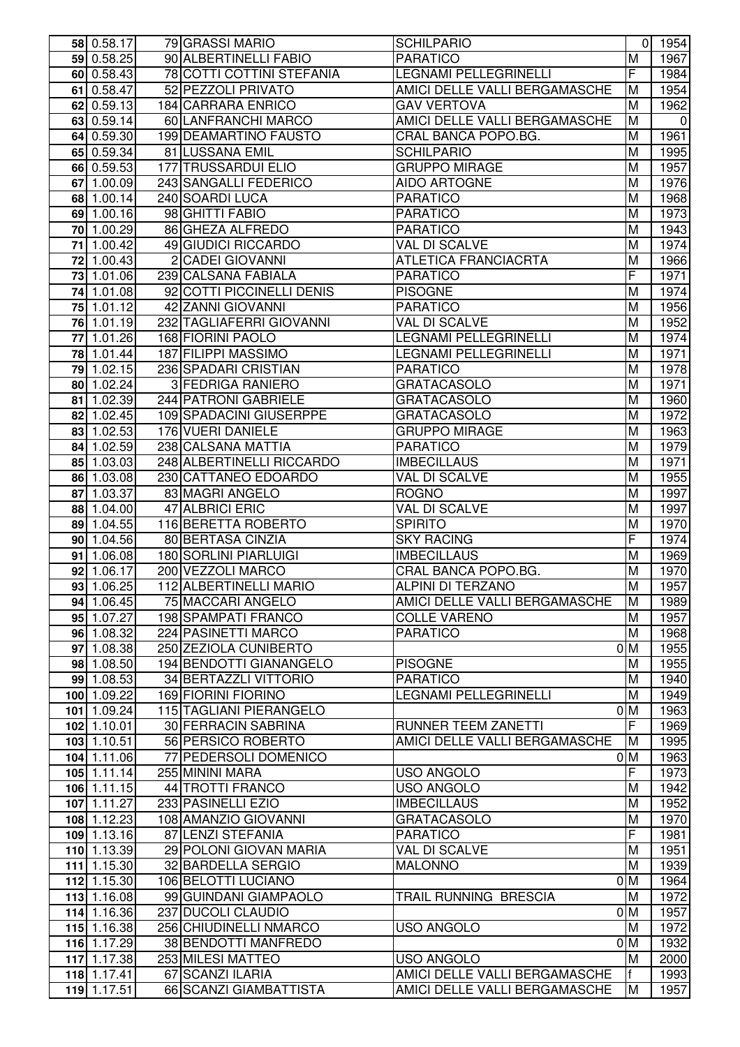|    | 58 0.58.17               | 79 GRASSI MARIO           | <b>SCHILPARIO</b>             |                         | 0 1954             |
|----|--------------------------|---------------------------|-------------------------------|-------------------------|--------------------|
|    | 59 0.58.25               | 90 ALBERTINELLI FABIO     | <b>PARATICO</b>               | M                       | 1967               |
|    | 60 0.58.43               | 78 COTTI COTTINI STEFANIA | LEGNAMI PELLEGRINELLI         | F                       | 1984               |
|    | 61 0.58.47               | 52 PEZZOLI PRIVATO        | AMICI DELLE VALLI BERGAMASCHE | M                       | 1954               |
|    | 62 0.59.13               | 184 CARRARA ENRICO        | <b>GAV VERTOVA</b>            | M                       | 1962               |
|    | 63 0.59.14               | 60 LANFRANCHI MARCO       | AMICI DELLE VALLI BERGAMASCHE | M                       | $\mathbf 0$        |
|    | 64 0.59.30               | 199 DEAMARTINO FAUSTO     | CRAL BANCA POPO.BG.           | M                       | 1961               |
|    | 65 0.59.34               | 81 LUSSANA EMIL           | <b>SCHILPARIO</b>             | M                       | 1995               |
|    | 66 0.59.53               | 177 TRUSSARDUI ELIO       | <b>GRUPPO MIRAGE</b>          | M                       | 1957               |
|    | $67 \overline{)1.00.09}$ | 243 SANGALLI FEDERICO     | <b>AIDO ARTOGNE</b>           | M                       | 1976               |
|    | 68 1.00.14               | 240 SOARDI LUCA           | PARATICO                      | M                       | 1968               |
|    | 69 1.00.16               | 98 GHITTI FABIO           | PARATICO                      | M                       | $\overline{19}73$  |
|    | 70 1.00.29               | 86 GHEZA ALFREDO          | <b>PARATICO</b>               | M                       | 1943               |
|    | 71 1.00.42               | 49 GIUDICI RICCARDO       | VAL DI SCALVE                 | M                       | 1974               |
| 72 | 1.00.43                  | 2 CADEI GIOVANNI          | <b>ATLETICA FRANCIACRTA</b>   | M                       | 1966               |
|    | 73 1.01.06               | 239 CALSANA FABIALA       | <b>PARATICO</b>               | F                       | 1971               |
|    |                          |                           |                               | M                       |                    |
|    | 74 1.01.08               | 92 COTTI PICCINELLI DENIS | <b>PISOGNE</b>                |                         | 1974               |
|    | 75 1.01.12               | 42 ZANNI GIOVANNI         | <b>PARATICO</b>               | M                       | 1956               |
|    | 76 1.01.19               | 232 TAGLIAFERRI GIOVANNI  | <b>VAL DI SCALVE</b>          | M                       | 1952               |
|    | 77 1.01.26               | 168 FIORINI PAOLO         | LEGNAMI PELLEGRINELLI         | M                       | 1974               |
|    | 78 1.01.44               | 187 FILIPPI MASSIMO       | LEGNAMI PELLEGRINELLI         | M                       | 1971               |
|    | 79 1.02.15               | 236 SPADARI CRISTIAN      | PARATICO                      | M                       | 1978               |
|    | 80 1.02.24               | 3 FEDRIGA RANIERO         | <b>GRATACASOLO</b>            | M                       | 1971               |
|    | 81 1.02.39               | 244 PATRONI GABRIELE      | <b>GRATACASOLO</b>            | M                       | 1960               |
|    | 82 1.02.45               | 109 SPADACINI GIUSERPPE   | <b>GRATACASOLO</b>            | M                       | 1972               |
|    | 83 1.02.53               | 176 VUERI DANIELE         | <b>GRUPPO MIRAGE</b>          | M                       | 1963               |
|    | 84 1.02.59               | 238 CALSANA MATTIA        | <b>PARATICO</b>               | M                       | 1979               |
|    | 85 1.03.03               | 248 ALBERTINELLI RICCARDO | <b>IMBECILLAUS</b>            | M                       | 1971               |
|    | 86 1.03.08               | 230 CATTANEO EDOARDO      | <b>VAL DI SCALVE</b>          | M                       | 1955               |
| 87 | 1.03.37                  | 83 MAGRI ANGELO           | <b>ROGNO</b>                  | M                       | 1997               |
|    | 88 1.04.00               | 47 ALBRICI ERIC           | <b>VAL DI SCALVE</b>          | M                       | 1997               |
|    | 89 1.04.55               | 116 BERETTA ROBERTO       | <b>SPIRITO</b>                | M                       | 1970               |
|    | 90 1.04.56               | 80 BERTASA CINZIA         | <b>SKY RACING</b>             | F                       | $\overline{1974}$  |
|    | $91 \overline{)1.06.08}$ | 180 SORLINI PIARLUIGI     | <b>IMBECILLAUS</b>            | M                       | 1969               |
|    | 92 1.06.17               | 200 VEZZOLI MARCO         | CRAL BANCA POPO.BG.           | M                       | 1970               |
|    | 93 1.06.25               | 112 ALBERTINELLI MARIO    | ALPINI DI TERZANO             | M                       | 1957               |
|    | 94 1.06.45               | 75 MACCARI ANGELO         | AMICI DELLE VALLI BERGAMASCHE | M                       | 1989               |
|    | 95 $1.07.27$             | 198 SPAMPATI FRANCO       | <b>COLLE VARENO</b>           | M                       | 1957               |
|    | 96 1.08.32               | 224 PASINETTI MARCO       | <b>PARATICO</b>               | M                       | 1968               |
|    | 97 1.08.38               | 250 ZEZIOLA CUNIBERTO     |                               | 0 <sub>M</sub>          | 1955               |
|    | 98 1.08.50               | 194 BENDOTTI GIANANGELO   | <b>PISOGNE</b>                | M                       | 1955               |
|    | 99 1.08.53               | 34 BERTAZZLI VITTORIO     | <b>PARATICO</b>               | M                       | 1940               |
|    | 100 1.09.22              | 169 FIORINI FIORINO       | <b>LEGNAMI PELLEGRINELLI</b>  | M                       | 1949               |
|    | 101 1.09.24              | 115 TAGLIANI PIERANGELO   |                               | 0 <sub>M</sub>          | 1963               |
|    | 102 1.10.01              | 30 FERRACIN SABRINA       | RUNNER TEEM ZANETTI           | F                       | 1969               |
|    | 103 1.10.51              | 56 PERSICO ROBERTO        | AMICI DELLE VALLI BERGAMASCHE | M                       | 1995               |
|    | 104 1.11.06              | 77 PEDERSOLI DOMENICO     |                               | 0 <sub>M</sub>          | 1963               |
|    | 105 1.11.14              | 255 MININI MARA           | <b>USO ANGOLO</b>             | F                       | 1973               |
|    | 106 1.11.15              | 44 TROTTI FRANCO          | <b>USO ANGOLO</b>             | M                       | $\overline{19}$ 42 |
|    | 107 1.11.27              | 233 PASINELLI EZIO        | <b>IMBECILLAUS</b>            | $\overline{\mathsf{M}}$ | 1952               |
|    | 108 1.12.23              | 108 AMANZIO GIOVANNI      | <b>GRATACASOLO</b>            | M                       | 1970               |
|    | 109 1.13.16              | 87 LENZI STEFANIA         | <b>PARATICO</b>               | F                       | 1981               |
|    |                          | 29 POLONI GIOVAN MARIA    |                               | M                       |                    |
|    | 110 1.13.39              |                           | VAL DI SCALVE                 | M                       | 1951               |
|    | 111 1.15.30              | 32 BARDELLA SERGIO        | <b>MALONNO</b>                |                         | 1939               |
|    | 112 1.15.30              | 106 BELOTTI LUCIANO       |                               | 0 <sub>M</sub>          | 1964               |
|    | 113 1.16.08              | 99 GUINDANI GIAMPAOLO     | TRAIL RUNNING BRESCIA         | M                       | 1972               |
|    | 114 1.16.36              | 237 DUCOLI CLAUDIO        |                               | 0 <sub>M</sub>          | 1957               |
|    | 115 1.16.38              | 256 CHIUDINELLI NMARCO    | <b>USO ANGOLO</b>             | M                       | 1972               |
|    | 116 1.17.29              | 38 BENDOTTI MANFREDO      |                               | 0 <sub>M</sub>          | 1932               |
|    | $\overline{117}$ 1.17.38 | 253 MILESI MATTEO         | <b>USO ANGOLO</b>             | M                       | 2000               |
|    | 118 1.17.41              | 67 SCANZI ILARIA          | AMICI DELLE VALLI BERGAMASCHE | f                       | 1993               |
|    | 119 1.17.51              | 66 SCANZI GIAMBATTISTA    | AMICI DELLE VALLI BERGAMASCHE | M                       | 1957               |